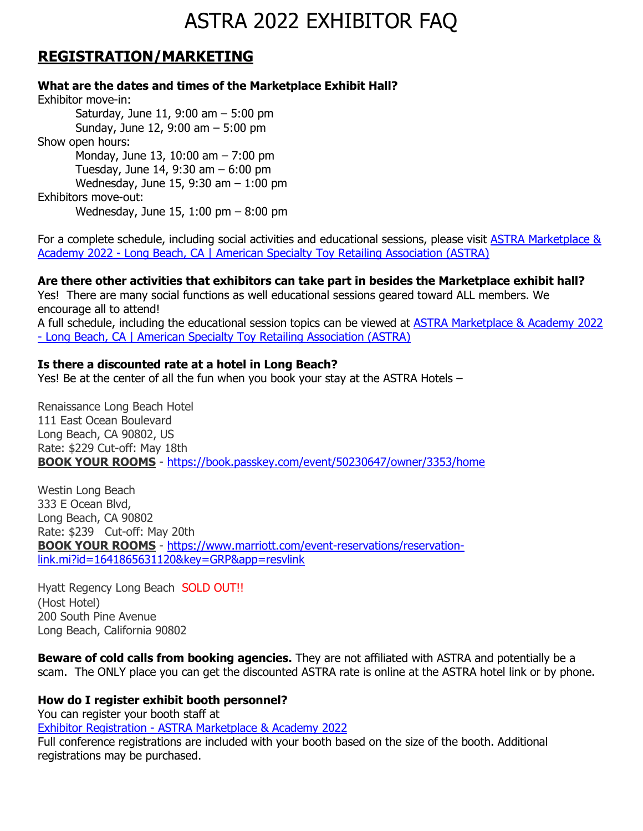## **REGISTRATION/MARKETING**

**What are the dates and times of the Marketplace Exhibit Hall?**

Exhibitor move-in: Saturday, June 11, 9:00 am – 5:00 pm Sunday, June 12, 9:00 am – 5:00 pm Show open hours: Monday, June 13, 10:00 am – 7:00 pm Tuesday, June 14, 9:30 am – 6:00 pm Wednesday, June 15, 9:30 am – 1:00 pm Exhibitors move-out: Wednesday, June 15, 1:00 pm – 8:00 pm

For a complete schedule, including social activities and educational sessions, please visit [ASTRA Marketplace &](https://astra.glueup.com/event/astra-marketplace-academy-2022-long-beach-ca-49304/)  Academy 2022 - [Long Beach, CA | American Specialty Toy Retailing Association \(ASTRA\)](https://astra.glueup.com/event/astra-marketplace-academy-2022-long-beach-ca-49304/) 

#### **Are there other activities that exhibitors can take part in besides the Marketplace exhibit hall?**

Yes! There are many social functions as well educational sessions geared toward ALL members. We encourage all to attend!

A full schedule, including the educational session topics can be viewed at [ASTRA Marketplace & Academy 2022](https://astra.glueup.com/event/astra-marketplace-academy-2022-long-beach-ca-49304/)  - [Long Beach, CA | American Specialty Toy Retailing Association \(ASTRA\)](https://astra.glueup.com/event/astra-marketplace-academy-2022-long-beach-ca-49304/) 

#### **Is there a discounted rate at a hotel in Long Beach?**

Yes! Be at the center of all the fun when you book your stay at the ASTRA Hotels –

Renaissance Long Beach Hotel 111 East Ocean [Boulevard](https://goo.gl/maps/aa4wk5c9uNYwPnyHA) Long Beach, CA [90802,](https://goo.gl/maps/awKq7MPc641So7C69) US Rate: \$229 Cut-off: May 18th **BOOK YOUR [ROOMS](https://book.passkey.com/go/ASTRAROOMBLOCK)** - <https://book.passkey.com/event/50230647/owner/3353/home>

Westin Long Beach 333 E [Ocean](https://goo.gl/maps/NQkeFURPMm6GJdqn6) Blvd, Long [Beach,](https://goo.gl/maps/NQkeFURPMm6GJdqn6) CA 90802 Rate: \$239 Cut-off: May 20th **BOOK YOUR [ROOMS](https://www.marriott.com/event-reservations/reservation-link.mi?id=1641865631120&key=GRP&app=resvlink)** - [https://www.marriott.com/event-reservations/reservation](https://www.marriott.com/event-reservations/reservation-link.mi?id=1641865631120&key=GRP&app=resvlink)[link.mi?id=1641865631120&key=GRP&app=resvlink](https://www.marriott.com/event-reservations/reservation-link.mi?id=1641865631120&key=GRP&app=resvlink)

Hyatt Regency Long Beach SOLD OUT!! (Host Hotel) 200 South Pine Avenue Long Beach, California 90802

**Beware of cold calls from booking agencies.** They are not affiliated with ASTRA and potentially be a scam. The ONLY place you can get the discounted ASTRA rate is online at the ASTRA hotel link or by phone.

#### **How do I register exhibit booth personnel?**

You can register your booth staff at Exhibitor Registration - [ASTRA Marketplace & Academy 2022](https://astra.glueup.com/event/exhibitor-registration-astra-marketplace-academy-2022-long-beach-ca-50204/) Full conference registrations are included with your booth based on the size of the booth. Additional registrations may be purchased.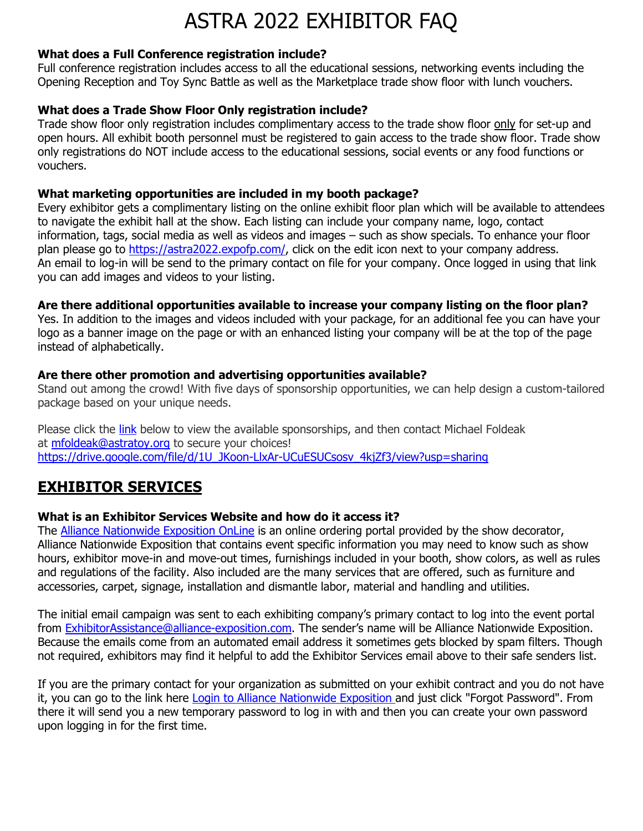#### **What does a Full Conference registration include?**

Full conference registration includes access to all the educational sessions, networking events including the Opening Reception and Toy Sync Battle as well as the Marketplace trade show floor with lunch vouchers.

#### **What does a Trade Show Floor Only registration include?**

Trade show floor only registration includes complimentary access to the trade show floor only for set-up and open hours. All exhibit booth personnel must be registered to gain access to the trade show floor. Trade show only registrations do NOT include access to the educational sessions, social events or any food functions or vouchers.

#### **What marketing opportunities are included in my booth package?**

Every exhibitor gets a complimentary listing on the online exhibit floor plan which will be available to attendees to navigate the exhibit hall at the show. Each listing can include your company name, logo, contact information, tags, social media as well as videos and images – such as show specials. To enhance your floor plan please go to [https://astra2022.expofp.com/,](https://astra2022.expofp.com/) click on the edit icon next to your company address. An email to log-in will be send to the primary contact on file for your company. Once logged in using that link you can add images and videos to your listing.

#### **Are there additional opportunities available to increase your company listing on the floor plan?**

Yes. In addition to the images and videos included with your package, for an additional fee you can have your logo as a banner image on the page or with an enhanced listing your company will be at the top of the page instead of alphabetically.

#### **Are there other promotion and advertising opportunities available?**

Stand out among the crowd! With five days of sponsorship opportunities, we can help design a custom-tailored package based on your unique needs.

Please click the [link](https://drive.google.com/file/d/1U_JKoon-LlxAr-UCuESUCsosv_4kjZf3/view?usp=sharing) below to view the available sponsorships, and then contact Michael Foldeak at [mfoldeak@astratoy.org](mailto:mfoldeak@astratoy.org) to secure your choices! [https://drive.google.com/file/d/1U\\_JKoon-LlxAr-UCuESUCsosv\\_4kjZf3/view?usp=sharing](https://drive.google.com/file/d/1U_JKoon-LlxAr-UCuESUCsosv_4kjZf3/view?usp=sharing)

## **EXHIBITOR SERVICES**

### **[What is an Exhibitor Services W](javascript:toggle_div()ebsite and how do it access it?**

The [Alliance Nationwide Exposition OnLine](https://alliance-exposition.boomerecommerce.com/) is an online ordering portal provided by the show decorator, Alliance Nationwide Exposition that contains event specific information you may need to know such as show hours, exhibitor move-in and move-out times, furnishings included in your booth, show colors, as well as rules and regulations of the facility. Also included are the many services that are offered, such as furniture and accessories, carpet, signage, installation and dismantle labor, material and handling and utilities.

The initial email campaign was sent to each exhibiting company's primary contact to log into the event portal from [ExhibitorAssistance@alliance-exposition.com.](mailto:ExhibitorAssistance@alliance-exposition.com) The sender's name will be Alliance Nationwide Exposition. Because the emails come from an automated email address it sometimes gets blocked by spam filters. Though not required, exhibitors may find it helpful to add the Exhibitor Services email above to their safe senders list.

If you are the primary contact for your organization as submitted on your exhibit contract and you do not have it, you can go to the link here Login to Alliance [Nationwide](https://alliance-exposition.boomerecommerce.com/) Exposition and just click "Forgot Password". From there it will send you a new temporary password to log in with and then you can create your own password upon logging in for the first time.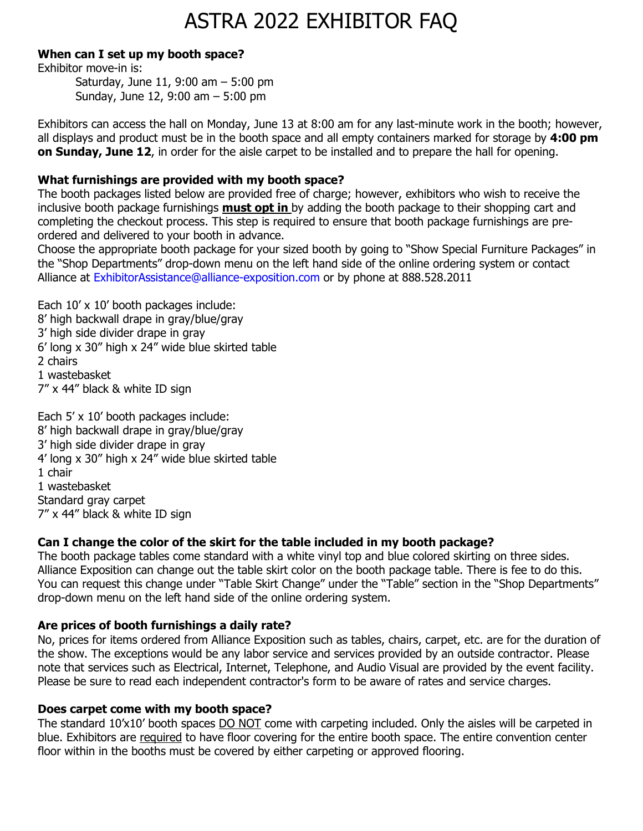#### **When can I set up my booth space?**

Exhibitor move-in is:

Saturday, June 11, 9:00 am – 5:00 pm Sunday, June 12, 9:00 am – 5:00 pm

Exhibitors can access the hall on Monday, June 13 at 8:00 am for any last-minute work in the booth; however, all displays and product must be in the booth space and all empty containers marked for storage by **4:00 pm on Sunday, June 12**, in order for the aisle carpet to be installed and to prepare the hall for opening.

### **What furnishings are provided with my booth space?**

The booth packages listed below are provided free of charge; however, exhibitors who wish to receive the inclusive booth package furnishings **must opt in** by adding the booth package to their shopping cart and completing the checkout process. This step is required to ensure that booth package furnishings are preordered and delivered to your booth in advance.

Choose the appropriate booth package for your sized booth by going to "Show Special Furniture Packages" in the "Shop Departments" drop-down menu on the left hand side of the online ordering system or contact Alliance at [ExhibitorAssistance@alliance-exposition.com](mailto:ExhibitorAssistance@alliance-exposition.com) or by phone at 888.528.2011

Each 10' x 10' booth packages include: 8' high backwall drape in gray/blue/gray 3' high side divider drape in gray 6' long x 30" high x 24" wide blue skirted table 2 chairs 1 wastebasket 7" x 44" black & white ID sign

Each 5' x 10' booth packages include: 8' high backwall drape in gray/blue/gray 3' high side divider drape in gray 4' long x 30" high x 24" wide blue skirted table 1 chair 1 wastebasket Standard gray carpet 7" x 44" black & white ID sign

### **Can I change the color of the skirt for the table included in my booth package?**

The booth package tables come standard with a white vinyl top and blue colored skirting on three sides. Alliance Exposition can change out the table skirt color on the booth package table. There is fee to do this. You can request this change under "Table Skirt [Change"](https://alliance-exposition.boomerecommerce.com/Pages/Event/Detail.aspx?CategoryID=187&PS=12&S=P&D=A&PID=2165) under the "Table" section in the "Shop Departments" drop-down menu on the left hand side of the online ordering system.

### **Are prices of booth furnishings a daily rate?**

No, prices for items ordered from Alliance Exposition such as tables, chairs, carpet, etc. are for the duration of the show. The exceptions would be any labor service and services provided by an outside contractor. Please note that services such as Electrical, Internet, Telephone, and Audio Visual are provided by the event facility. Please be sure to read each independent contractor's form to be aware of rates and service charges.

### **Does carpet come with my booth space?**

The standard 10'x10' booth spaces DO NOT come with carpeting included. Only the aisles will be carpeted in blue. Exhibitors are required to have floor covering for the entire booth space. The entire convention center floor within in the booths must be covered by either carpeting or approved flooring.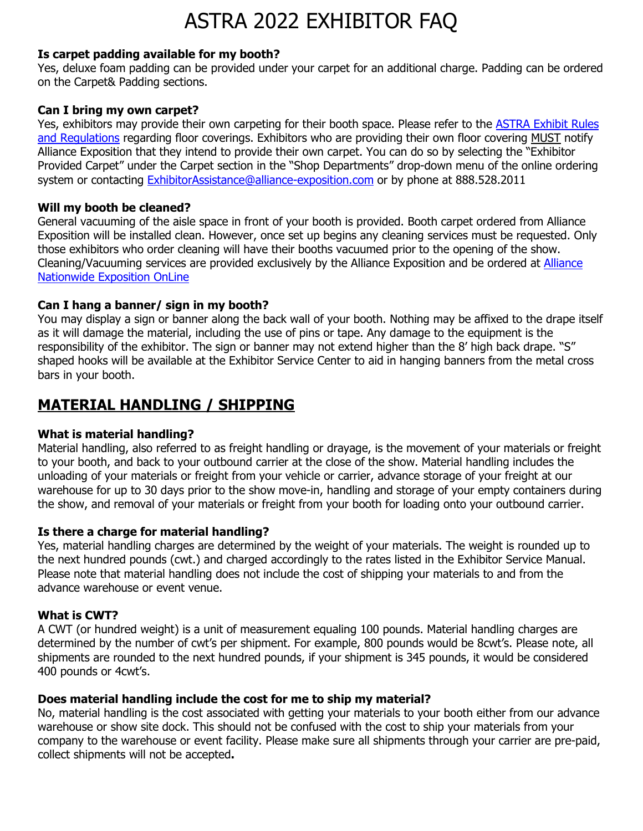#### **Is carpet padding available for my booth?**

Yes, deluxe foam padding can be provided under your carpet for an additional charge. Padding can be ordered on the Carpet& Padding sections.

#### **Can I bring my own carpet?**

Yes, exhibitors may provide their own carpeting for their booth space. Please refer to the [ASTRA Exhibit Rules](https://www.summitexpo.com/astra2022rules.pdf)  [and Regulations](https://www.summitexpo.com/astra2022rules.pdf) regarding floor coverings. Exhibitors who are providing their own floor covering MUST notify Alliance Exposition that they intend to provide their own carpet. You can do so by selecting the "Exhibitor Provided Carpet" under the Carpet section in the "Shop Departments" drop-down menu of the online ordering system or contacting [ExhibitorAssistance@alliance-exposition.com](mailto:ExhibitorAssistance@alliance-exposition.com) or by phone at 888.528.2011

#### **Will my booth be cleaned?**

General vacuuming of the aisle space in front of your booth is provided. Booth carpet ordered from Alliance Exposition will be installed clean. However, once set up begins any cleaning services must be requested. Only those exhibitors who order cleaning will have their booths vacuumed prior to the opening of the show. Cleaning/Vacuuming services are provided exclusively by the Alliance Exposition and be ordered at [Alliance](https://alliance-exposition.boomerecommerce.com/)  [Nationwide Exposition OnLine](https://alliance-exposition.boomerecommerce.com/)

#### **Can I hang a banner/ sign in my booth?**

You may display a sign or banner along the back wall of your booth. Nothing may be affixed to the drape itself as it will damage the material, including the use of pins or tape. Any damage to the equipment is the responsibility of the exhibitor. The sign or banner may not extend higher than the 8' high back drape. "S" shaped hooks will be available at the Exhibitor Service Center to aid in hanging banners from the metal cross bars in your booth.

### **MATERIAL HANDLING / SHIPPING**

#### **What is material handling?**

Material handling, also referred to as freight handling or drayage, is the movement of your materials or freight to your booth, and back to your outbound carrier at the close of the show. Material handling includes the unloading of your materials or freight from your vehicle or carrier, advance storage of your freight at our warehouse for up to 30 days prior to the show move-in, handling and storage of your empty containers during the show, and removal of your materials or freight from your booth for loading onto your outbound carrier.

#### **Is there a charge for material handling?**

Yes, material handling charges are determined by the weight of your materials. The weight is rounded up to the next hundred pounds (cwt.) and charged accordingly to the rates listed in the Exhibitor Service Manual. Please note that material handling does not include the cost of shipping your materials to and from the advance warehouse or event venue.

#### **What is CWT?**

A CWT (or hundred weight) is a unit of measurement equaling 100 pounds. Material handling charges are determined by the number of cwt's per shipment. For example, 800 pounds would be 8cwt's. Please note, all shipments are rounded to the next hundred pounds, if your shipment is 345 pounds, it would be considered 400 pounds or 4cwt's.

#### **Does material handling include the cost for me to ship my material?**

No, material handling is the cost associated with getting your materials to your booth either from our advance warehouse or show site dock. This should not be confused with the cost to ship your materials from your company to the warehouse or event facility. Please make sure all shipments through your carrier are pre-paid, collect shipments will not be accepted**.**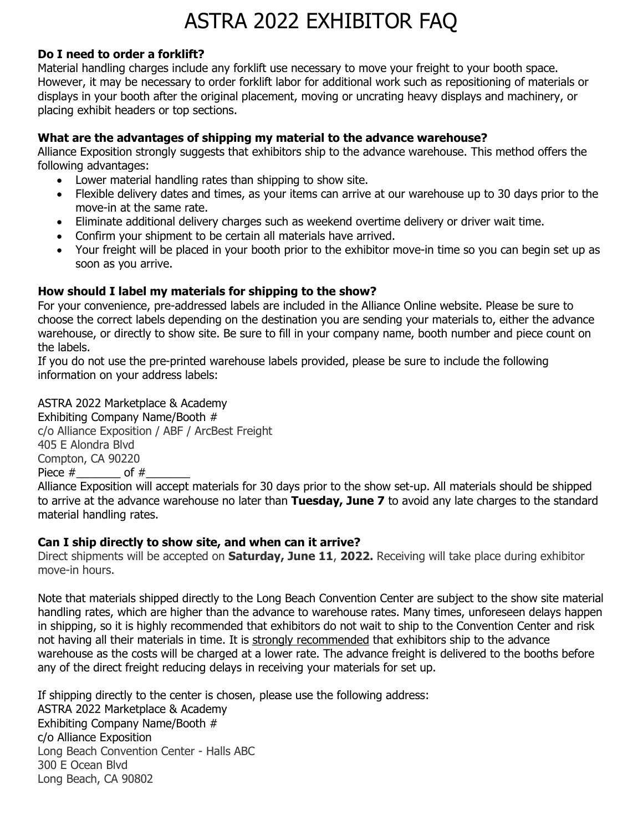#### **Do I need to order a forklift?**

Material handling charges include any forklift use necessary to move your freight to your booth space. However, it may be necessary to order forklift labor for additional work such as repositioning of materials or displays in your booth after the original placement, moving or uncrating heavy displays and machinery, or placing exhibit headers or top sections.

#### **What are the advantages of shipping my material to the advance warehouse?**

Alliance Exposition strongly suggests that exhibitors ship to the advance warehouse. This method offers the following advantages:

- Lower material handling rates than shipping to show site.
- Flexible delivery dates and times, as your items can arrive at our warehouse up to 30 days prior to the move-in at the same rate.
- Eliminate additional delivery charges such as weekend overtime delivery or driver wait time.
- Confirm your shipment to be certain all materials have arrived.
- Your freight will be placed in your booth prior to the exhibitor move-in time so you can begin set up as soon as you arrive.

#### **How should I label my materials for shipping to the show?**

For your convenience, pre-addressed labels are included in the Alliance Online website. Please be sure to choose the correct labels depending on the destination you are sending your materials to, either the advance warehouse, or directly to show site. Be sure to fill in your company name, booth number and piece count on the labels.

If you do not use the pre-printed warehouse labels provided, please be sure to include the following information on your address labels:

ASTRA 2022 Marketplace & Academy Exhibiting Company Name/Booth # c/o Alliance Exposition / ABF / ArcBest Freight 405 E Alondra Blvd Compton, CA 90220 Piece  $#$  of  $#$ 

Alliance Exposition will accept materials for 30 days prior to the show set-up. All materials should be shipped to arrive at the advance warehouse no later than **Tuesday, June 7** to avoid any late charges to the standard material handling rates.

#### **Can I ship directly to show site, and when can it arrive?**

Direct shipments will be accepted on **Saturday, June 11**, **2022.** Receiving will take place during exhibitor move-in hours.

Note that materials shipped directly to the Long Beach Convention Center are subject to the show site material handling rates, which are higher than the advance to warehouse rates. Many times, unforeseen delays happen in shipping, so it is highly recommended that exhibitors do not wait to ship to the Convention Center and risk not having all their materials in time. It is strongly recommended that exhibitors ship to the advance warehouse as the costs will be charged at a lower rate. The advance freight is delivered to the booths before any of the direct freight reducing delays in receiving your materials for set up.

If shipping directly to the center is chosen, please use the following address: ASTRA 2022 Marketplace & Academy Exhibiting Company Name/Booth # c/o Alliance Exposition Long Beach Convention Center - Halls ABC 300 E Ocean Blvd Long Beach, CA 90802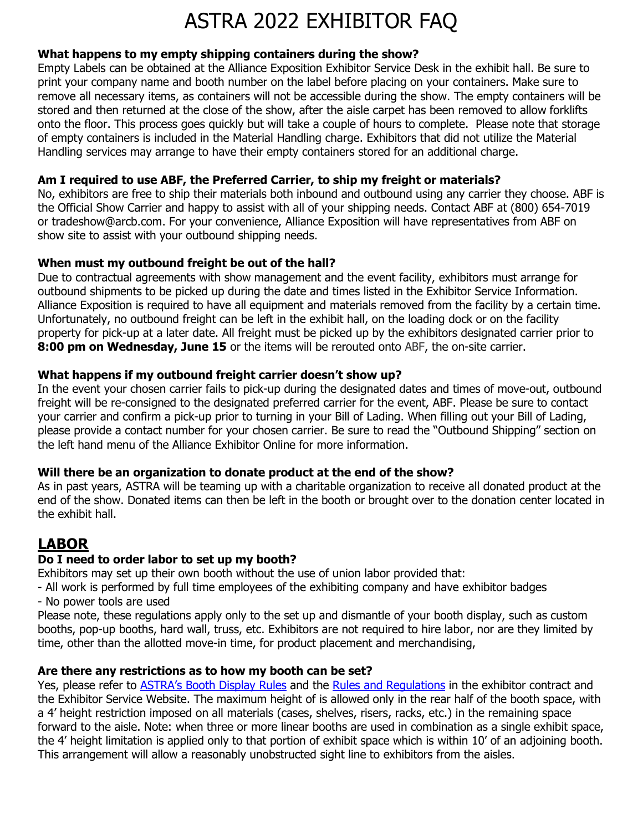#### **What happens to my empty shipping containers during the show?**

Empty Labels can be obtained at the Alliance Exposition Exhibitor Service Desk in the exhibit hall. Be sure to print your company name and booth number on the label before placing on your containers. Make sure to remove all necessary items, as containers will not be accessible during the show. The empty containers will be stored and then returned at the close of the show, after the aisle carpet has been removed to allow forklifts onto the floor. This process goes quickly but will take a couple of hours to complete. Please note that storage of empty containers is included in the Material Handling charge. Exhibitors that did not utilize the Material Handling services may arrange to have their empty containers stored for an additional charge.

#### **Am I required to use ABF, the Preferred Carrier, to ship my freight or materials?**

No, exhibitors are free to ship their materials both inbound and outbound using any carrier they choose. ABF is the Official Show Carrier and happy to assist with all of your shipping needs. Contact ABF at (800) 654-7019 or tradeshow@arcb.com. For your convenience, Alliance Exposition will have representatives from ABF on show site to assist with your outbound shipping needs.

#### **When must my outbound freight be out of the hall?**

Due to contractual agreements with show management and the event facility, exhibitors must arrange for outbound shipments to be picked up during the date and times listed in the Exhibitor Service Information. Alliance Exposition is required to have all equipment and materials removed from the facility by a certain time. Unfortunately, no outbound freight can be left in the exhibit hall, on the loading dock or on the facility property for pick-up at a later date. All freight must be picked up by the exhibitors designated carrier prior to **8:00 pm on Wednesday, June 15** or the items will be rerouted onto ABF, the on-site carrier.

#### **What happens if my outbound freight carrier doesn't show up?**

In the event your chosen carrier fails to pick-up during the designated dates and times of move-out, outbound freight will be re-consigned to the designated preferred carrier for the event, ABF. Please be sure to contact your carrier and confirm a pick-up prior to turning in your Bill of Lading. When filling out your Bill of Lading, please provide a contact number for your chosen carrier. Be sure to read the "Outbound Shipping" section on the left hand menu of the Alliance Exhibitor Online for more information.

#### **Will there be an organization to donate product at the end of the show?**

As in past years, ASTRA will be teaming up with a charitable organization to receive all donated product at the end of the show. Donated items can then be left in the booth or brought over to the donation center located in the exhibit hall.

## **LABOR**

### **Do I need to order labor to set up my booth?**

Exhibitors may set up their own booth without the use of union labor provided that:

- All work is performed by full time employees of the exhibiting company and have exhibitor badges - No power tools are used

Please note, these regulations apply only to the set up and dismantle of your booth display, such as custom booths, pop-up booths, hard wall, truss, etc. Exhibitors are not required to hire labor, nor are they limited by time, other than the allotted move-in time, for product placement and merchandising,

#### **Are there any restrictions as to how my booth can be set?**

Yes, please refer to **[ASTRA's Booth Display Rules](https://summitexpo.com/astradisplayrules.pdf)** and the **Rules and Regulations** in the exhibitor contract and the Exhibitor Service Website. The maximum height of is allowed only in the rear half of the booth space, with a 4' height restriction imposed on all materials (cases, shelves, risers, racks, etc.) in the remaining space forward to the aisle. Note: when three or more linear booths are used in combination as a single exhibit space, the 4' height limitation is applied only to that portion of exhibit space which is within 10' of an adjoining booth. This arrangement will allow a reasonably unobstructed sight line to exhibitors from the aisles.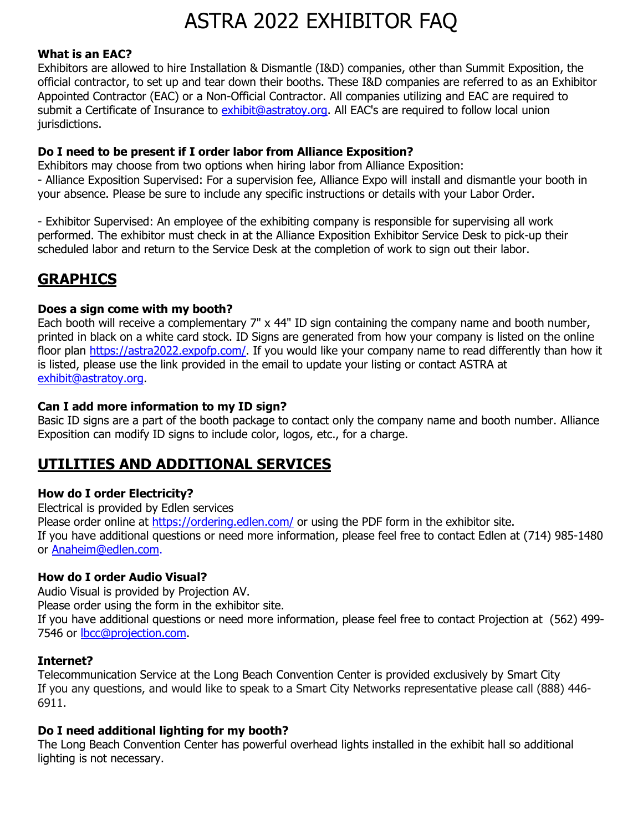#### **What is an EAC?**

Exhibitors are allowed to hire Installation & Dismantle (I&D) companies, other than Summit Exposition, the official contractor, to set up and tear down their booths. These I&D companies are referred to as an Exhibitor Appointed Contractor (EAC) or a Non-Official Contractor. All companies utilizing and EAC are required to submit a Certificate of Insurance to exhibit@astratoy.org. All EAC's are required to follow local union jurisdictions.

#### **Do I need to be present if I order labor from Alliance Exposition?**

Exhibitors may choose from two options when hiring labor from Alliance Exposition: - Alliance Exposition Supervised: For a supervision fee, Alliance Expo will install and dismantle your booth in your absence. Please be sure to include any specific instructions or details with your Labor Order.

- Exhibitor Supervised: An employee of the exhibiting company is responsible for supervising all work performed. The exhibitor must check in at the Alliance Exposition Exhibitor Service Desk to pick-up their scheduled labor and return to the Service Desk at the completion of work to sign out their labor.

## **GRAPHICS**

#### **Does a sign come with my booth?**

Each booth will receive a complementary 7" x 44" ID sign containing the company name and booth number, printed in black on a white card stock. ID Signs are generated from how your company is listed on the online floor plan [https://astra2022.expofp.com/.](https://astra2022.expofp.com/) If you would like your company name to read differently than how it is listed, please use the link provided in the email to update your listing or contact ASTRA at [exhibit@astratoy.org.](mailto:exhibit@astratoy.org)

#### **Can I add more information to my ID sign?**

Basic ID signs are a part of the booth package to contact only the company name and booth number. Alliance Exposition can modify ID signs to include color, logos, etc., for a charge.

## **UTILITIES AND ADDITIONAL SERVICES**

### **How do I order Electricity?**

Electrical is provided by Edlen services Please order online at<https://ordering.edlen.com/> or using the PDF form in the exhibitor site. If you have additional questions or need more information, please feel free to contact Edlen at (714) 985-1480 or [Anaheim@edlen.com.](mailto:Anaheim@edlen.com)

#### **How do I order Audio Visual?**

Audio Visual is provided by Projection AV.

Please order using the form in the exhibitor site.

If you have additional questions or need more information, please feel free to contact Projection at (562) 499- 7546 or [lbcc@projection.com.](mailto:lbcc@projection.com)

#### **Internet?**

Telecommunication Service at the Long Beach Convention Center is provided exclusively by Smart City If you any questions, and would like to speak to a Smart City Networks representative please call (888) 446- 6911.

#### **Do I need additional lighting for my booth?**

The Long Beach Convention Center has powerful overhead lights installed in the exhibit hall so additional lighting is not necessary.